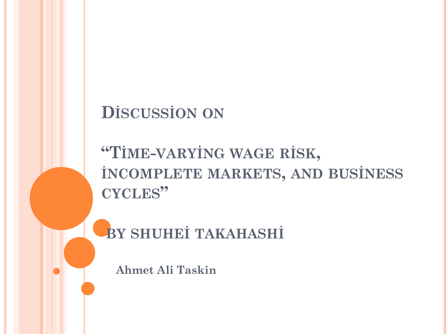#### **DİSCUSSİON ON**

### **"TİME-VARYİNG WAGE RİSK, İNCOMPLETE MARKETS, AND BUSİNESS CYCLES"**

#### **BY SHUHEİ TAKAHASHİ**

**Ahmet Ali Taskin**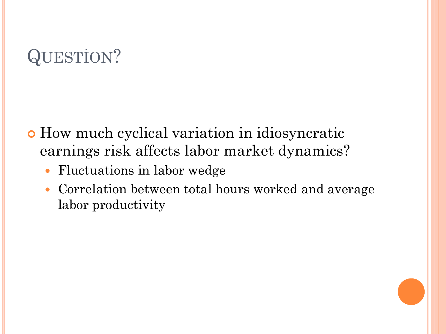# QUESTİON?

- How much cyclical variation in idiosyncratic earnings risk affects labor market dynamics?
	- Fluctuations in labor wedge
	- Correlation between total hours worked and average labor productivity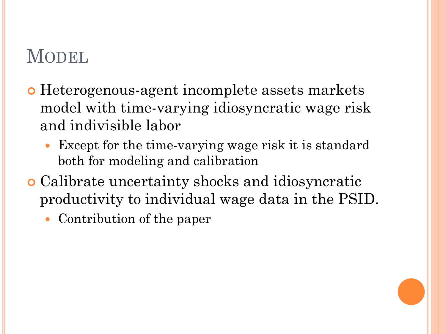### MODEL.

- Heterogenous-agent incomplete assets markets model with time-varying idiosyncratic wage risk and indivisible labor
	- Except for the time-varying wage risk it is standard both for modeling and calibration
- Calibrate uncertainty shocks and idiosyncratic productivity to individual wage data in the PSID.
	- Contribution of the paper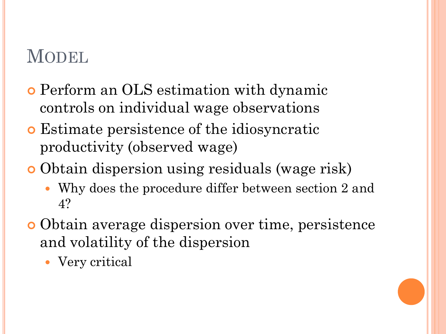#### MODEL

- Perform an OLS estimation with dynamic controls on individual wage observations
- Estimate persistence of the idiosyncratic productivity (observed wage)
- Obtain dispersion using residuals (wage risk)
	- Why does the procedure differ between section 2 and 4?
- Obtain average dispersion over time, persistence and volatility of the dispersion
	- Very critical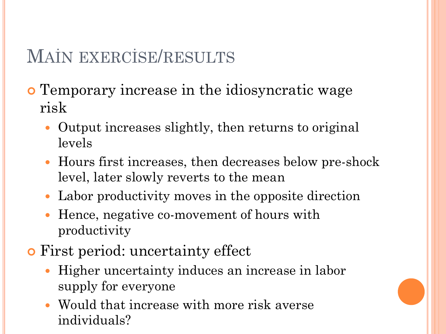## MAİN EXERCİSE/RESULTS

- Temporary increase in the idiosyncratic wage risk
	- Output increases slightly, then returns to original levels
	- Hours first increases, then decreases below pre-shock level, later slowly reverts to the mean
	- Labor productivity moves in the opposite direction
	- Hence, negative co-movement of hours with productivity
- First period: uncertainty effect
	- Higher uncertainty induces an increase in labor supply for everyone
	- Would that increase with more risk averse individuals?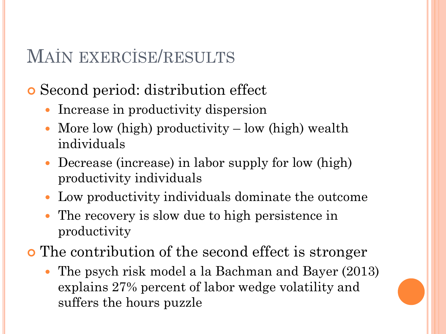#### MAİN EXERCİSE/RESULTS

Second period: distribution effect

- Increase in productivity dispersion
- More low (high) productivity low (high) wealth individuals
- Decrease (increase) in labor supply for low (high) productivity individuals
- Low productivity individuals dominate the outcome
- The recovery is slow due to high persistence in productivity
- The contribution of the second effect is stronger
	- The psych risk model a la Bachman and Bayer (2013) explains 27% percent of labor wedge volatility and suffers the hours puzzle